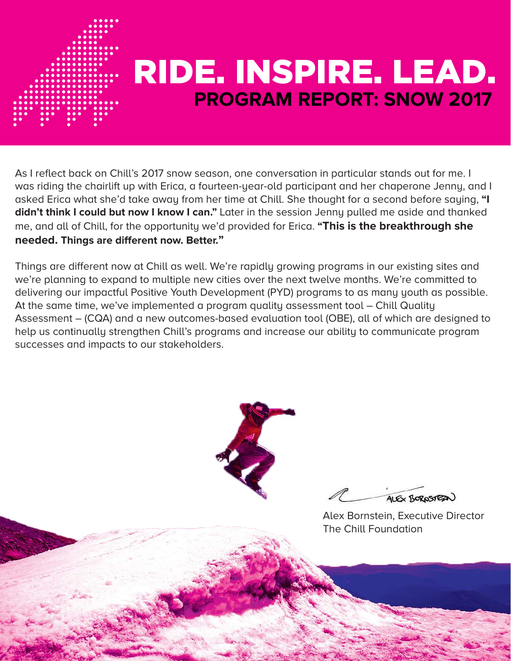

#### **PROGRAM REPORT: SNOW 2017** RIDE. INSPIRE. LEAD.

As I reflect back on Chill's 2017 snow season, one conversation in particular stands out for me. I was riding the chairlift up with Erica, a fourteen-year-old participant and her chaperone Jenny, and I asked Erica what she'd take away from her time at Chill. She thought for a second before saying, **"I didn't think I could but now I know I can."** Later in the session Jenny pulled me aside and thanked me, and all of Chill, for the opportunity we'd provided for Erica. **"This is the breakthrough she needed. Things are different now. Better."**

Things are different now at Chill as well. We're rapidly growing programs in our existing sites and we're planning to expand to multiple new cities over the next twelve months. We're committed to delivering our impactful Positive Youth Development (PYD) programs to as many youth as possible. At the same time, we've implemented a program quality assessment tool – Chill Quality Assessment – (CQA) and a new outcomes-based evaluation tool (OBE), all of which are designed to help us continually strengthen Chill's programs and increase our ability to communicate program successes and impacts to our stakeholders.



ALEX BOROSTER

Alex Bornstein, Executive Director The Chill Foundation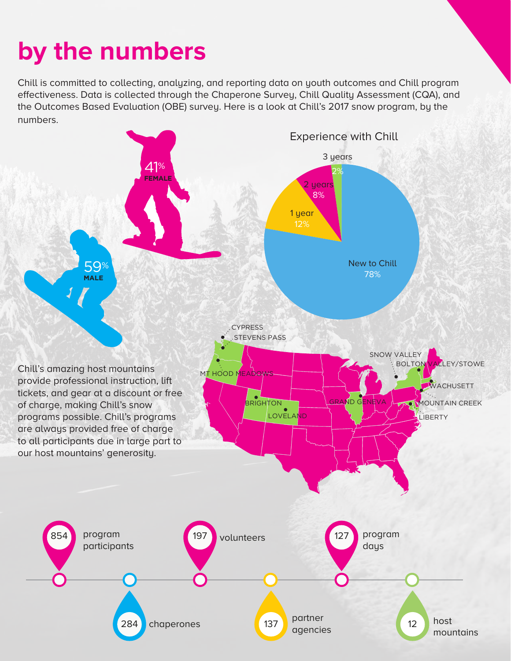## **by the numbers**

Chill is committed to collecting, analyzing, and reporting data on youth outcomes and Chill program effectiveness. Data is collected through the Chaperone Survey, Chill Quality Assessment (CQA), and the Outcomes Based Evaluation (OBE) survey. Here is a look at Chill's 2017 snow program, by the numbers.

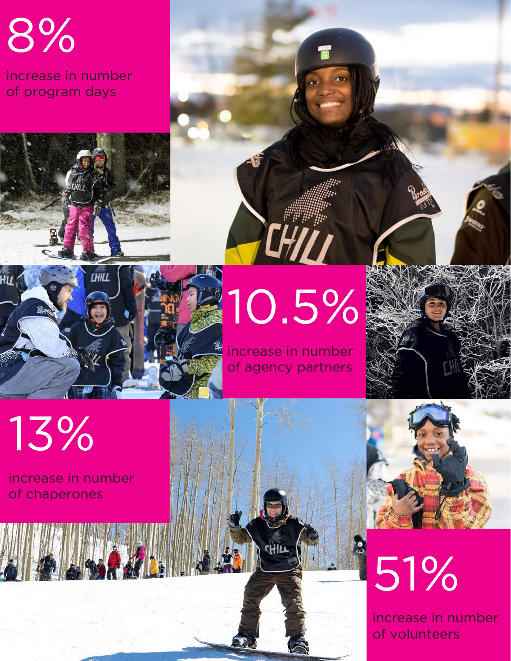8%

increase in number of program days





# 10.5%

TEHILI

increase in number of agency partners



## 13%

increase in number of chaperones



increase in number of volunteers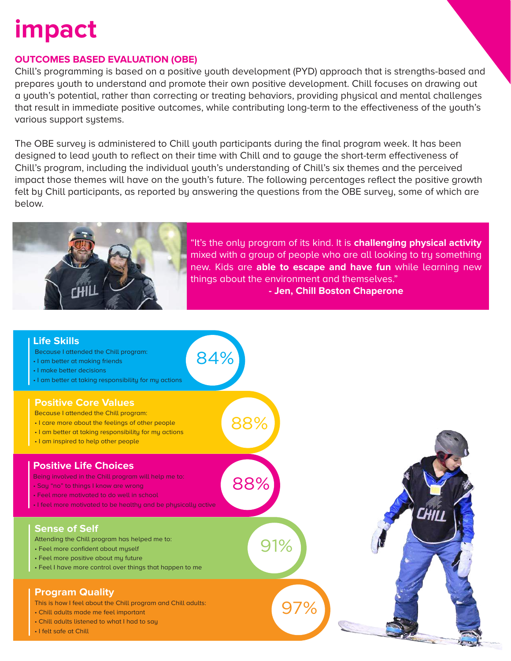## **impact**

#### **OUTCOMES BASED EVALUATION (OBE)**

Chill's programming is based on a positive youth development (PYD) approach that is strengths-based and prepares youth to understand and promote their own positive development. Chill focuses on drawing out a youth's potential, rather than correcting or treating behaviors, providing physical and mental challenges that result in immediate positive outcomes, while contributing long-term to the effectiveness of the youth's various support systems.

The OBE survey is administered to Chill youth participants during the final program week. It has been designed to lead youth to reflect on their time with Chill and to gauge the short-term effectiveness of Chill's program, including the individual youth's understanding of Chill's six themes and the perceived impact those themes will have on the youth's future. The following percentages reflect the positive growth felt by Chill participants, as reported by answering the questions from the OBE survey, some of which are below.



"It's the only program of its kind. It is **challenging physical activity** mixed with a group of people who are all looking to try something new. Kids are **able to escape and have fun** while learning new things about the environment and themselves." **- Jen, Chill Boston Chaperone**